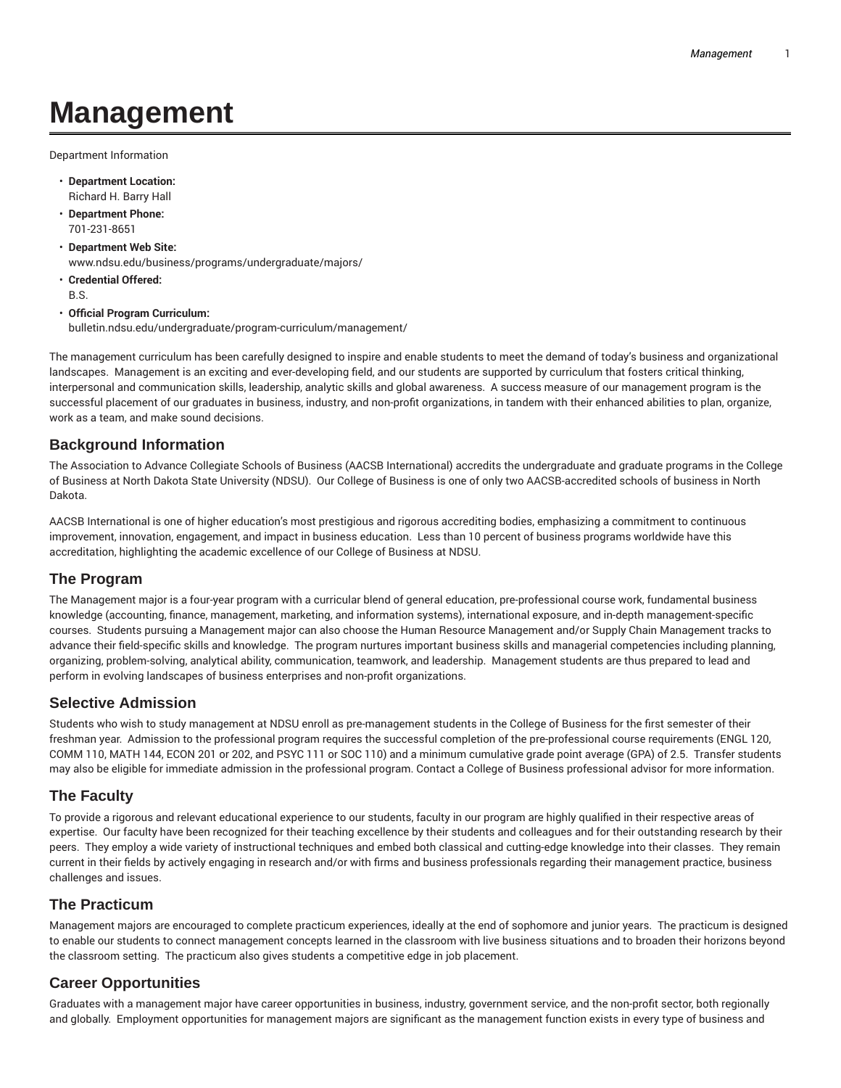# **Management**

Department Information

- **Department Location:** Richard H. Barry Hall
- **Department Phone:** 701-231-8651
- **Department Web Site:** www.ndsu.edu/business/programs/undergraduate/majors/
- **Credential Offered:** B.S.
- **Official Program Curriculum:** bulletin.ndsu.edu/undergraduate/program-curriculum/management/

The management curriculum has been carefully designed to inspire and enable students to meet the demand of today's business and organizational landscapes. Management is an exciting and ever-developing field, and our students are supported by curriculum that fosters critical thinking, interpersonal and communication skills, leadership, analytic skills and global awareness. A success measure of our management program is the successful placement of our graduates in business, industry, and non-profit organizations, in tandem with their enhanced abilities to plan, organize, work as a team, and make sound decisions.

## **Background Information**

The Association to Advance Collegiate Schools of Business (AACSB International) accredits the undergraduate and graduate programs in the College of Business at North Dakota State University (NDSU). Our College of Business is one of only two AACSB-accredited schools of business in North Dakota.

AACSB International is one of higher education's most prestigious and rigorous accrediting bodies, emphasizing a commitment to continuous improvement, innovation, engagement, and impact in business education. Less than 10 percent of business programs worldwide have this accreditation, highlighting the academic excellence of our College of Business at NDSU.

## **The Program**

The Management major is a four-year program with a curricular blend of general education, pre-professional course work, fundamental business knowledge (accounting, finance, management, marketing, and information systems), international exposure, and in-depth management-specific courses. Students pursuing a Management major can also choose the Human Resource Management and/or Supply Chain Management tracks to advance their field-specific skills and knowledge. The program nurtures important business skills and managerial competencies including planning, organizing, problem-solving, analytical ability, communication, teamwork, and leadership. Management students are thus prepared to lead and perform in evolving landscapes of business enterprises and non-profit organizations.

#### **Selective Admission**

Students who wish to study management at NDSU enroll as pre-management students in the College of Business for the first semester of their freshman year. Admission to the professional program requires the successful completion of the pre-professional course requirements (ENGL 120, COMM 110, MATH 144, ECON 201 or 202, and PSYC 111 or SOC 110) and a minimum cumulative grade point average (GPA) of 2.5. Transfer students may also be eligible for immediate admission in the professional program. Contact a College of Business professional advisor for more information.

## **The Faculty**

To provide a rigorous and relevant educational experience to our students, faculty in our program are highly qualified in their respective areas of expertise. Our faculty have been recognized for their teaching excellence by their students and colleagues and for their outstanding research by their peers. They employ a wide variety of instructional techniques and embed both classical and cutting-edge knowledge into their classes. They remain current in their fields by actively engaging in research and/or with firms and business professionals regarding their management practice, business challenges and issues.

#### **The Practicum**

Management majors are encouraged to complete practicum experiences, ideally at the end of sophomore and junior years. The practicum is designed to enable our students to connect management concepts learned in the classroom with live business situations and to broaden their horizons beyond the classroom setting. The practicum also gives students a competitive edge in job placement.

# **Career Opportunities**

Graduates with a management major have career opportunities in business, industry, government service, and the non-profit sector, both regionally and globally. Employment opportunities for management majors are significant as the management function exists in every type of business and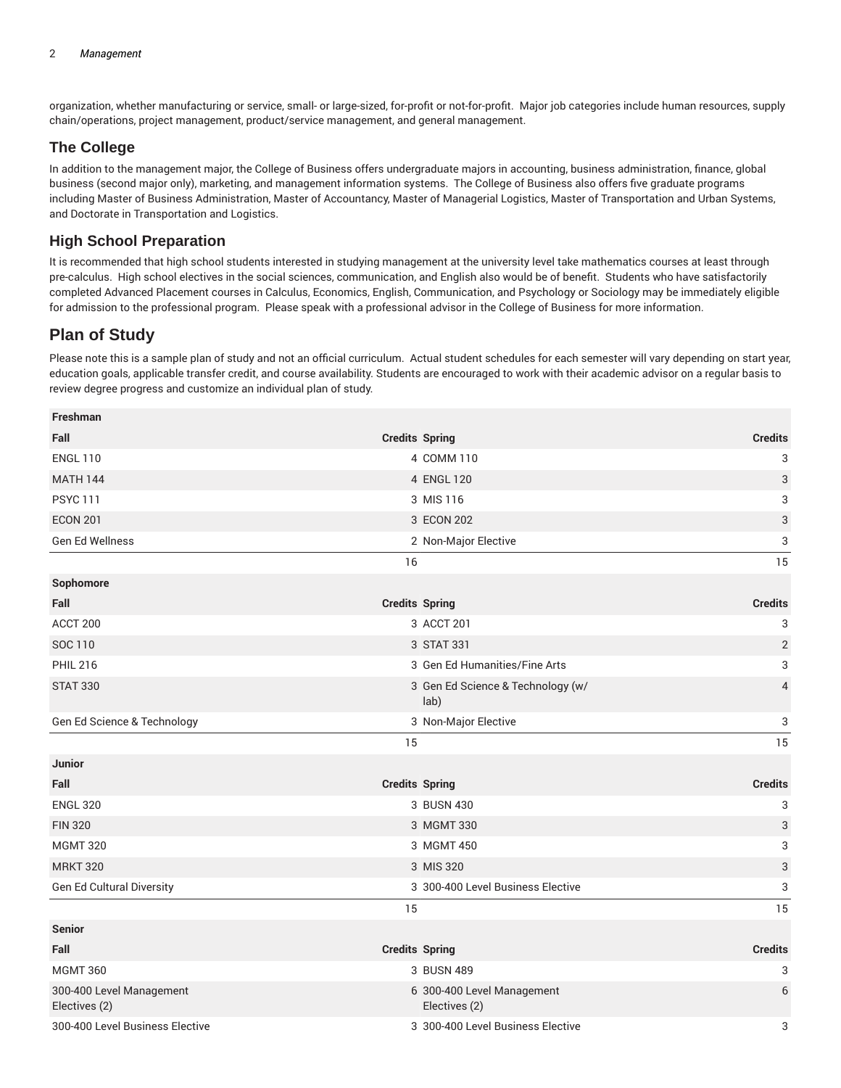organization, whether manufacturing or service, small- or large-sized, for-profit or not-for-profit. Major job categories include human resources, supply chain/operations, project management, product/service management, and general management.

## **The College**

In addition to the management major, the College of Business offers undergraduate majors in accounting, business administration, finance, global business (second major only), marketing, and management information systems. The College of Business also offers five graduate programs including Master of Business Administration, Master of Accountancy, Master of Managerial Logistics, Master of Transportation and Urban Systems, and Doctorate in Transportation and Logistics.

## **High School Preparation**

It is recommended that high school students interested in studying management at the university level take mathematics courses at least through pre-calculus. High school electives in the social sciences, communication, and English also would be of benefit. Students who have satisfactorily completed Advanced Placement courses in Calculus, Economics, English, Communication, and Psychology or Sociology may be immediately eligible for admission to the professional program. Please speak with a professional advisor in the College of Business for more information.

# **Plan of Study**

Please note this is a sample plan of study and not an official curriculum. Actual student schedules for each semester will vary depending on start year, education goals, applicable transfer credit, and course availability. Students are encouraged to work with their academic advisor on a regular basis to review degree progress and customize an individual plan of study.

| <b>Freshman</b>                           |                       |                                             |                |
|-------------------------------------------|-----------------------|---------------------------------------------|----------------|
| Fall                                      |                       | <b>Credits Spring</b>                       | <b>Credits</b> |
| <b>ENGL 110</b>                           |                       | 4 COMM 110                                  | 3              |
| <b>MATH 144</b>                           |                       | 4 ENGL 120                                  | 3              |
| <b>PSYC 111</b>                           |                       | 3 MIS 116                                   | 3              |
| <b>ECON 201</b>                           |                       | 3 ECON 202                                  | 3              |
| Gen Ed Wellness                           |                       | 2 Non-Major Elective                        | 3              |
|                                           | 16                    |                                             | 15             |
| Sophomore                                 |                       |                                             |                |
| Fall                                      | <b>Credits Spring</b> |                                             | <b>Credits</b> |
| ACCT 200                                  |                       | 3 ACCT 201                                  | 3              |
| SOC 110                                   |                       | 3 STAT 331                                  | $\sqrt{2}$     |
| <b>PHIL 216</b>                           |                       | 3 Gen Ed Humanities/Fine Arts               | 3              |
| <b>STAT 330</b>                           |                       | 3 Gen Ed Science & Technology (w/<br>lab)   | $\overline{4}$ |
| Gen Ed Science & Technology               |                       | 3 Non-Major Elective                        | 3              |
|                                           | 15                    |                                             | 15             |
| Junior                                    |                       |                                             |                |
| Fall                                      |                       | <b>Credits Spring</b>                       | <b>Credits</b> |
| <b>ENGL 320</b>                           |                       | 3 BUSN 430                                  | 3              |
| <b>FIN 320</b>                            |                       | 3 MGMT 330                                  | 3              |
| <b>MGMT 320</b>                           |                       | 3 MGMT 450                                  | 3              |
| <b>MRKT 320</b>                           |                       | 3 MIS 320                                   | 3              |
| Gen Ed Cultural Diversity                 |                       | 3 300-400 Level Business Elective           | 3              |
|                                           | 15                    |                                             | 15             |
| <b>Senior</b>                             |                       |                                             |                |
| Fall                                      |                       | <b>Credits Spring</b>                       | <b>Credits</b> |
| <b>MGMT 360</b>                           |                       | 3 BUSN 489                                  | 3              |
| 300-400 Level Management<br>Electives (2) |                       | 6 300-400 Level Management<br>Electives (2) | 6              |
| 300-400 Level Business Elective           |                       | 3 300-400 Level Business Elective           | 3              |